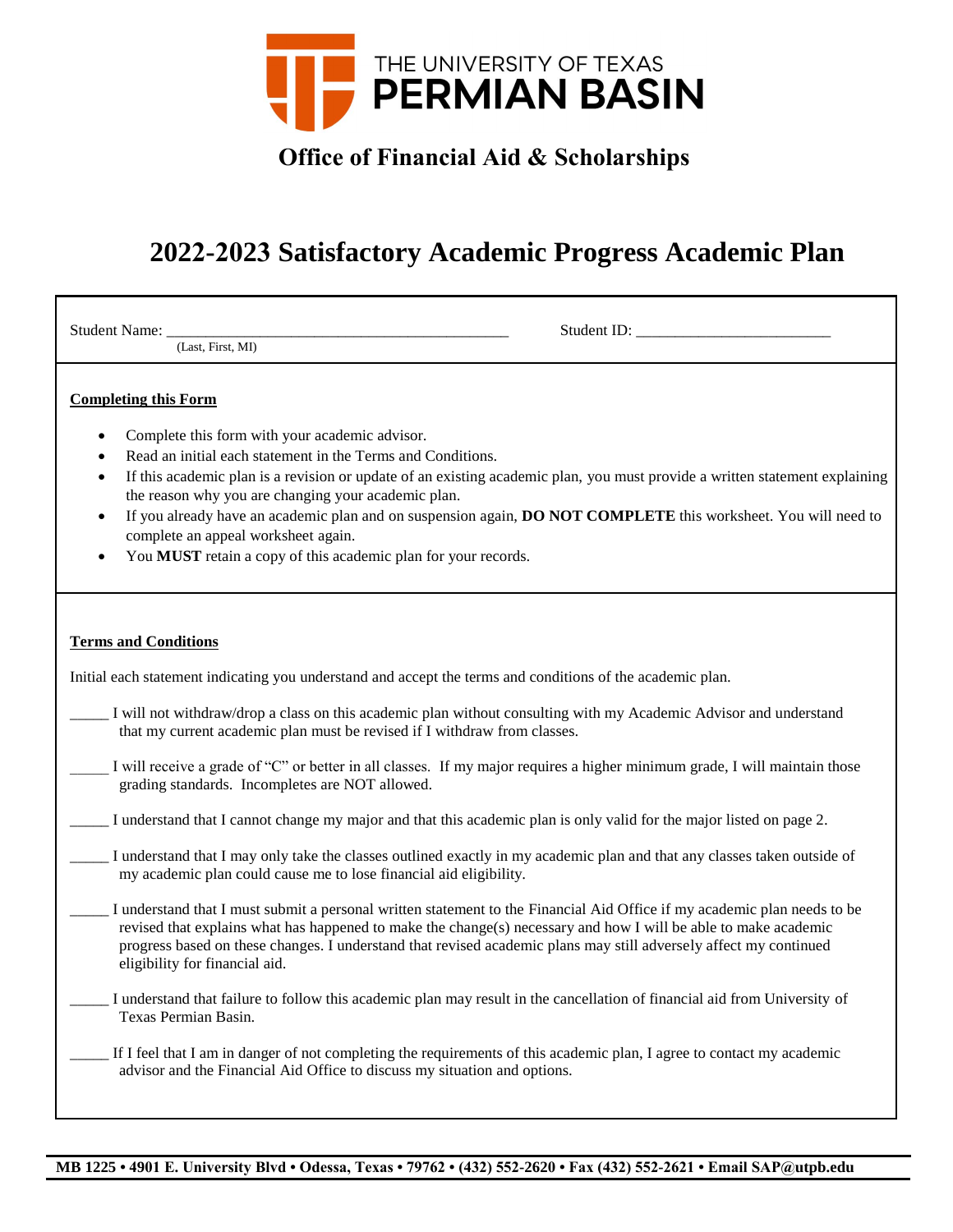

## **Office of Financial Aid & Scholarships**

## **2022-2023 Satisfactory Academic Progress Academic Plan**

| Student Name:<br>(Last, First, MI)                                                                                                                                                                                                                                                                                                                                                                                                                                                                                                                                                           |
|----------------------------------------------------------------------------------------------------------------------------------------------------------------------------------------------------------------------------------------------------------------------------------------------------------------------------------------------------------------------------------------------------------------------------------------------------------------------------------------------------------------------------------------------------------------------------------------------|
| <b>Completing this Form</b><br>Complete this form with your academic advisor.<br>$\bullet$<br>Read an initial each statement in the Terms and Conditions.<br>$\bullet$<br>If this academic plan is a revision or update of an existing academic plan, you must provide a written statement explaining<br>٠<br>the reason why you are changing your academic plan.<br>If you already have an academic plan and on suspension again, DO NOT COMPLETE this worksheet. You will need to<br>complete an appeal worksheet again.<br>You MUST retain a copy of this academic plan for your records. |
| <b>Terms and Conditions</b>                                                                                                                                                                                                                                                                                                                                                                                                                                                                                                                                                                  |
| Initial each statement indicating you understand and accept the terms and conditions of the academic plan.                                                                                                                                                                                                                                                                                                                                                                                                                                                                                   |
| I will not withdraw/drop a class on this academic plan without consulting with my Academic Advisor and understand<br>that my current academic plan must be revised if I withdraw from classes.                                                                                                                                                                                                                                                                                                                                                                                               |
| I will receive a grade of "C" or better in all classes. If my major requires a higher minimum grade, I will maintain those<br>grading standards. Incompletes are NOT allowed.                                                                                                                                                                                                                                                                                                                                                                                                                |
| I understand that I cannot change my major and that this academic plan is only valid for the major listed on page 2.                                                                                                                                                                                                                                                                                                                                                                                                                                                                         |
| I understand that I may only take the classes outlined exactly in my academic plan and that any classes taken outside of<br>my academic plan could cause me to lose financial aid eligibility.                                                                                                                                                                                                                                                                                                                                                                                               |
| I understand that I must submit a personal written statement to the Financial Aid Office if my academic plan needs to be<br>revised that explains what has happened to make the change(s) necessary and how I will be able to make academic<br>progress based on these changes. I understand that revised academic plans may still adversely affect my continued<br>eligibility for financial aid.                                                                                                                                                                                           |
| I understand that failure to follow this academic plan may result in the cancellation of financial aid from University of<br>Texas Permian Basin.                                                                                                                                                                                                                                                                                                                                                                                                                                            |
| If I feel that I am in danger of not completing the requirements of this academic plan, I agree to contact my academic<br>advisor and the Financial Aid Office to discuss my situation and options.                                                                                                                                                                                                                                                                                                                                                                                          |